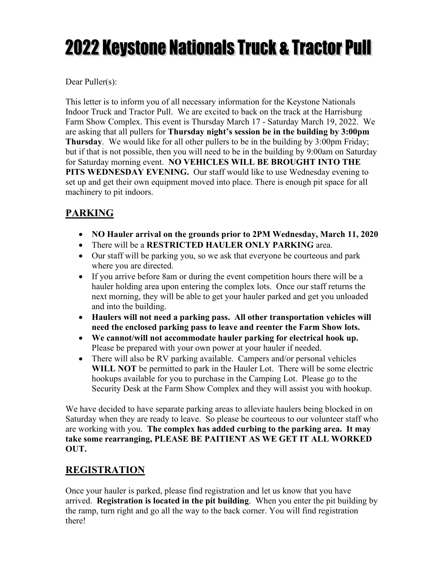# **2022 Keystone Nationals Truck & Tractor Pull**

Dear Puller(s):

This letter is to inform you of all necessary information for the Keystone Nationals Indoor Truck and Tractor Pull. We are excited to back on the track at the Harrisburg Farm Show Complex. This event is Thursday March 17 - Saturday March 19, 2022. We are asking that all pullers for **Thursday night's session be in the building by 3:00pm Thursday**. We would like for all other pullers to be in the building by 3:00pm Friday; but if that is not possible, then you will need to be in the building by 9:00am on Saturday for Saturday morning event. **NO VEHICLES WILL BE BROUGHT INTO THE PITS WEDNESDAY EVENING.** Our staff would like to use Wednesday evening to set up and get their own equipment moved into place. There is enough pit space for all machinery to pit indoors.

# **PARKING**

- **NO Hauler arrival on the grounds prior to 2PM Wednesday, March 11, 2020**
- There will be a **RESTRICTED HAULER ONLY PARKING** area.
- Our staff will be parking you, so we ask that everyone be courteous and park where you are directed.
- If you arrive before 8am or during the event competition hours there will be a hauler holding area upon entering the complex lots. Once our staff returns the next morning, they will be able to get your hauler parked and get you unloaded and into the building.
- **Haulers will not need a parking pass. All other transportation vehicles will need the enclosed parking pass to leave and reenter the Farm Show lots.**
- **We cannot/will not accommodate hauler parking for electrical hook up.**  Please be prepared with your own power at your hauler if needed.
- There will also be RV parking available. Campers and/or personal vehicles **WILL NOT** be permitted to park in the Hauler Lot. There will be some electric hookups available for you to purchase in the Camping Lot. Please go to the Security Desk at the Farm Show Complex and they will assist you with hookup.

We have decided to have separate parking areas to alleviate haulers being blocked in on Saturday when they are ready to leave. So please be courteous to our volunteer staff who are working with you. **The complex has added curbing to the parking area. It may take some rearranging, PLEASE BE PAITIENT AS WE GET IT ALL WORKED OUT.** 

## **REGISTRATION**

Once your hauler is parked, please find registration and let us know that you have arrived. **Registration is located in the pit building**. When you enter the pit building by the ramp, turn right and go all the way to the back corner. You will find registration there!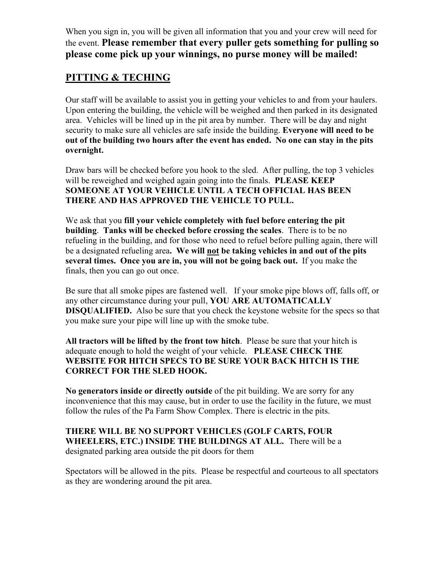When you sign in, you will be given all information that you and your crew will need for the event. **Please remember that every puller gets something for pulling so please come pick up your winnings, no purse money will be mailed!** 

#### **PITTING & TECHING**

Our staff will be available to assist you in getting your vehicles to and from your haulers. Upon entering the building, the vehicle will be weighed and then parked in its designated area. Vehicles will be lined up in the pit area by number. There will be day and night security to make sure all vehicles are safe inside the building. **Everyone will need to be out of the building two hours after the event has ended. No one can stay in the pits overnight.** 

Draw bars will be checked before you hook to the sled. After pulling, the top 3 vehicles will be reweighed and weighed again going into the finals. **PLEASE KEEP SOMEONE AT YOUR VEHICLE UNTIL A TECH OFFICIAL HAS BEEN THERE AND HAS APPROVED THE VEHICLE TO PULL.**

We ask that you **fill your vehicle completely with fuel before entering the pit building**. **Tanks will be checked before crossing the scales**. There is to be no refueling in the building, and for those who need to refuel before pulling again, there will be a designated refueling area**. We will not be taking vehicles in and out of the pits several times. Once you are in, you will not be going back out.** If you make the finals, then you can go out once.

Be sure that all smoke pipes are fastened well. If your smoke pipe blows off, falls off, or any other circumstance during your pull, **YOU ARE AUTOMATICALLY DISQUALIFIED.** Also be sure that you check the keystone website for the specs so that you make sure your pipe will line up with the smoke tube.

**All tractors will be lifted by the front tow hitch**. Please be sure that your hitch is adequate enough to hold the weight of your vehicle. **PLEASE CHECK THE WEBSITE FOR HITCH SPECS TO BE SURE YOUR BACK HITCH IS THE CORRECT FOR THE SLED HOOK.** 

**No generators inside or directly outside** of the pit building. We are sorry for any inconvenience that this may cause, but in order to use the facility in the future, we must follow the rules of the Pa Farm Show Complex. There is electric in the pits.

**THERE WILL BE NO SUPPORT VEHICLES (GOLF CARTS, FOUR WHEELERS, ETC.) INSIDE THE BUILDINGS AT ALL.** There will be a designated parking area outside the pit doors for them

Spectators will be allowed in the pits. Please be respectful and courteous to all spectators as they are wondering around the pit area.